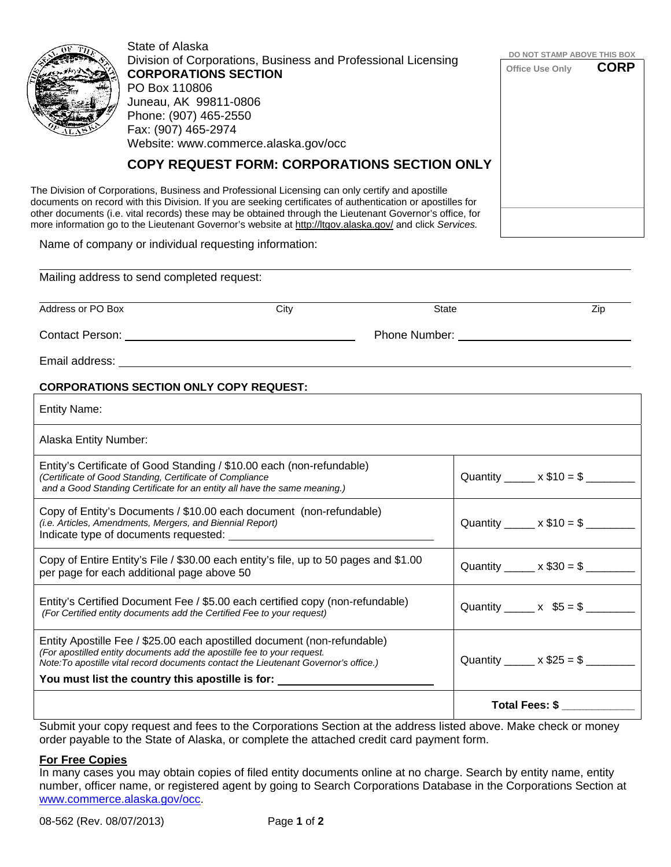| State of Alaska                                                                                                                                                                                                      | DO NOT STAMP ABOVE THIS BOX |             |
|----------------------------------------------------------------------------------------------------------------------------------------------------------------------------------------------------------------------|-----------------------------|-------------|
| Division of Corporations, Business and Professional Licensing                                                                                                                                                        | Office Use Only             | <b>CORP</b> |
| <b>CORPORATIONS SECTION</b>                                                                                                                                                                                          |                             |             |
| PO Box 110806<br>Juneau, AK 99811-0806                                                                                                                                                                               |                             |             |
| Phone: (907) 465-2550                                                                                                                                                                                                |                             |             |
| Fax: (907) 465-2974                                                                                                                                                                                                  |                             |             |
| Website: www.commerce.alaska.gov/occ                                                                                                                                                                                 |                             |             |
| <b>COPY REQUEST FORM: CORPORATIONS SECTION ONLY</b>                                                                                                                                                                  |                             |             |
| The Division of Corporations, Business and Professional Licensing can only certify and apostille<br>documents on record with this Division. If you are seeking certificates of authentication or apostilles for      |                             |             |
| other documents (i.e. vital records) these may be obtained through the Lieutenant Governor's office, for<br>more information go to the Lieutenant Governor's website at http://ltgov.alaska.gov/ and click Services. |                             |             |

Name of company or individual requesting information:

| Mailing address to send completed request: |      |               |     |  |  |  |
|--------------------------------------------|------|---------------|-----|--|--|--|
| Address or PO Box                          | City | State         | Zip |  |  |  |
| <b>Contact Person:</b>                     |      | Phone Number: |     |  |  |  |
| Email address:                             |      |               |     |  |  |  |

## **CORPORATIONS SECTION ONLY COPY REQUEST:**

| <b>Entity Name:</b>                                                                                                                                                                                                                                                                                         |                                       |
|-------------------------------------------------------------------------------------------------------------------------------------------------------------------------------------------------------------------------------------------------------------------------------------------------------------|---------------------------------------|
| Alaska Entity Number:                                                                                                                                                                                                                                                                                       |                                       |
| Entity's Certificate of Good Standing / \$10.00 each (non-refundable)<br>(Certificate of Good Standing, Certificate of Compliance<br>and a Good Standing Certificate for an entity all have the same meaning.)                                                                                              | Quantity $x $10 = $$                  |
| Copy of Entity's Documents / \$10.00 each document (non-refundable)<br>(i.e. Articles, Amendments, Mergers, and Biennial Report)                                                                                                                                                                            | Quantity ______ x $$10 = $$ _________ |
| Copy of Entire Entity's File / \$30.00 each entity's file, up to 50 pages and \$1.00<br>per page for each additional page above 50                                                                                                                                                                          | Quantity ______ x $$30 = $$ _________ |
| Entity's Certified Document Fee / \$5.00 each certified copy (non-refundable)<br>(For Certified entity documents add the Certified Fee to your request)                                                                                                                                                     | Quantity ______ x $$5 = $$ ________   |
| Entity Apostille Fee / \$25.00 each apostilled document (non-refundable)<br>(For apostilled entity documents add the apostille fee to your request.<br>Note: To apostille vital record documents contact the Lieutenant Governor's office.)<br>You must list the country this apostille is for: ___________ | Quantity ______ x $$25 = $$ _________ |
|                                                                                                                                                                                                                                                                                                             | Total Fees: \$                        |
| Cubmit your copy roquest and fess to the Corporations Costian at the address listed shows. Make sheek armoney                                                                                                                                                                                               |                                       |

Submit your copy request and fees to the Corporations Section at the address listed above. Make check or money order payable to the State of Alaska, or complete the attached credit card payment form.

## **For Free Copies**

In many cases you may obtain copies of filed entity documents online at no charge. Search by entity name, entity number, officer name, or registered agent by going to Search Corporations Database in the Corporations Section at www.commerce.alaska.gov/occ.